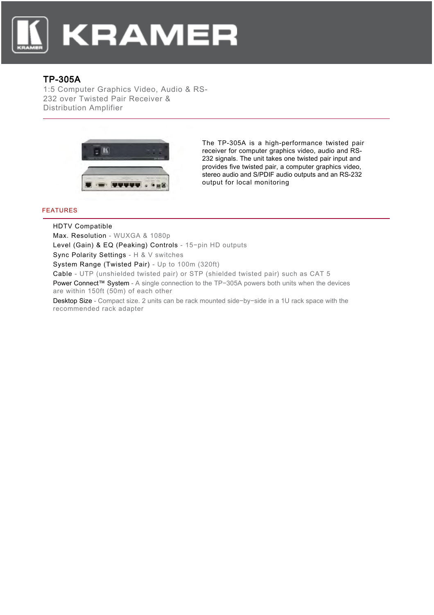

## TP-305A

1:5 Computer Graphics Video, Audio & RS-232 over Twisted Pair Receiver & Distribution Amplifier



The TP-305A is a high-performance twisted pair receiver for computer graphics video, audio and RS-232 signals. The unit takes one twisted pair input and provides five twisted pair, a computer graphics video, stereo audio and S/PDIF audio outputs and an RS-232 output for local monitoring

## FEATURES

HDTV Compatible

Max. Resolution - WUXGA & 1080p

Level (Gain) & EQ (Peaking) Controls - 15−pin HD outputs

Sync Polarity Settings - H & V switches

System Range (Twisted Pair) - Up to 100m (320ft)

Cable - UTP (unshielded twisted pair) or STP (shielded twisted pair) such as CAT 5

Power Connect™ System - A single connection to the TP-305A powers both units when the devices are within 150ft (50m) of each other

Desktop Size - Compact size. 2 units can be rack mounted side−by−side in a 1U rack space with the recommended rack adapter